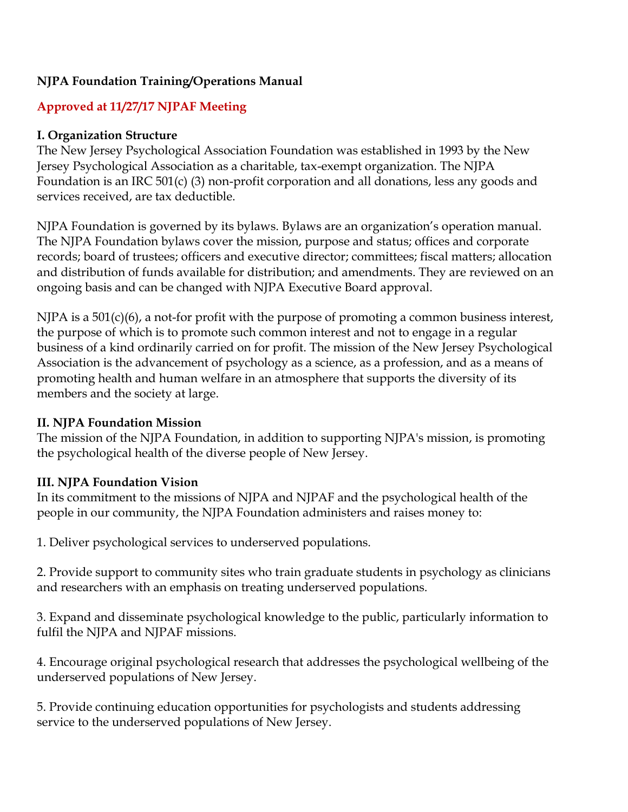### **NJPA Foundation Training/Operations Manual**

#### **Approved at 11/27/17 NJPAF Meeting**

#### **I. Organization Structure**

The New Jersey Psychological Association Foundation was established in 1993 by the New Jersey Psychological Association as a charitable, tax-exempt organization. The NJPA Foundation is an IRC 501(c) (3) non-profit corporation and all donations, less any goods and services received, are tax deductible.

NJPA Foundation is governed by its bylaws. Bylaws are an organization's operation manual. The NJPA Foundation bylaws cover the mission, purpose and status; offices and corporate records; board of trustees; officers and executive director; committees; fiscal matters; allocation and distribution of funds available for distribution; and amendments. They are reviewed on an ongoing basis and can be changed with NJPA Executive Board approval.

NJPA is a 501(c)(6), a not-for profit with the purpose of promoting a common business interest, the purpose of which is to promote such common interest and not to engage in a regular business of a kind ordinarily carried on for profit. The mission of the New Jersey Psychological Association is the advancement of psychology as a science, as a profession, and as a means of promoting health and human welfare in an atmosphere that supports the diversity of its members and the society at large.

#### **II. NJPA Foundation Mission**

The mission of the NJPA Foundation, in addition to supporting NJPA's mission, is promoting the psychological health of the diverse people of New Jersey.

#### **III. NJPA Foundation Vision**

In its commitment to the missions of NJPA and NJPAF and the psychological health of the people in our community, the NJPA Foundation administers and raises money to:

1. Deliver psychological services to underserved populations.

2. Provide support to community sites who train graduate students in psychology as clinicians and researchers with an emphasis on treating underserved populations.

3. Expand and disseminate psychological knowledge to the public, particularly information to fulfil the NJPA and NJPAF missions.

4. Encourage original psychological research that addresses the psychological wellbeing of the underserved populations of New Jersey.

5. Provide continuing education opportunities for psychologists and students addressing service to the underserved populations of New Jersey.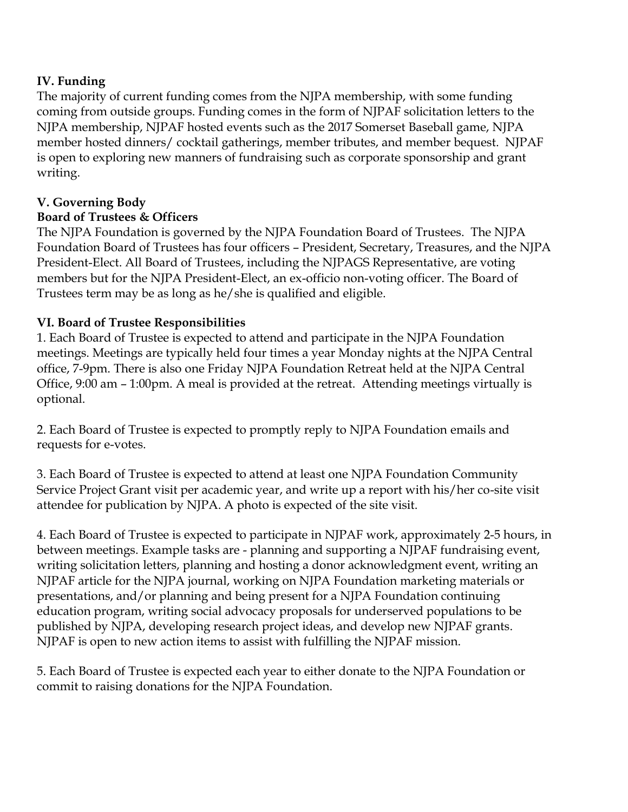#### **IV. Funding**

The majority of current funding comes from the NJPA membership, with some funding coming from outside groups. Funding comes in the form of NJPAF solicitation letters to the NJPA membership, NJPAF hosted events such as the 2017 Somerset Baseball game, NJPA member hosted dinners/ cocktail gatherings, member tributes, and member bequest. NJPAF is open to exploring new manners of fundraising such as corporate sponsorship and grant writing.

#### **V. Governing Body**

#### **Board of Trustees & Officers**

The NJPA Foundation is governed by the NJPA Foundation Board of Trustees. The NJPA Foundation Board of Trustees has four officers – President, Secretary, Treasures, and the NJPA President-Elect. All Board of Trustees, including the NJPAGS Representative, are voting members but for the NJPA President-Elect, an ex-officio non-voting officer. The Board of Trustees term may be as long as he/she is qualified and eligible.

#### **VI. Board of Trustee Responsibilities**

1. Each Board of Trustee is expected to attend and participate in the NJPA Foundation meetings. Meetings are typically held four times a year Monday nights at the NJPA Central office, 7-9pm. There is also one Friday NJPA Foundation Retreat held at the NJPA Central Office, 9:00 am – 1:00pm. A meal is provided at the retreat. Attending meetings virtually is optional.

2. Each Board of Trustee is expected to promptly reply to NJPA Foundation emails and requests for e-votes.

3. Each Board of Trustee is expected to attend at least one NJPA Foundation Community Service Project Grant visit per academic year, and write up a report with his/her co-site visit attendee for publication by NJPA. A photo is expected of the site visit.

4. Each Board of Trustee is expected to participate in NJPAF work, approximately 2-5 hours, in between meetings. Example tasks are - planning and supporting a NJPAF fundraising event, writing solicitation letters, planning and hosting a donor acknowledgment event, writing an NJPAF article for the NJPA journal, working on NJPA Foundation marketing materials or presentations, and/or planning and being present for a NJPA Foundation continuing education program, writing social advocacy proposals for underserved populations to be published by NJPA, developing research project ideas, and develop new NJPAF grants. NJPAF is open to new action items to assist with fulfilling the NJPAF mission.

5. Each Board of Trustee is expected each year to either donate to the NJPA Foundation or commit to raising donations for the NJPA Foundation.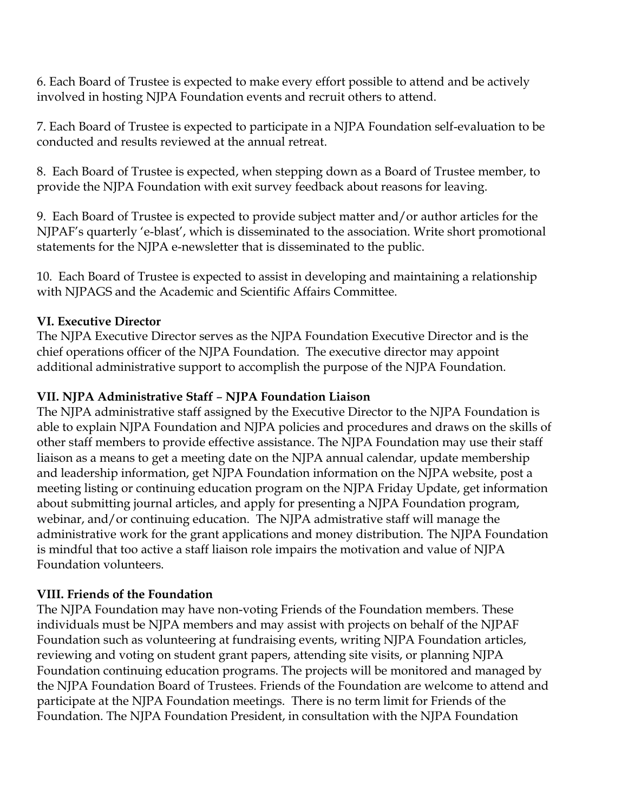6. Each Board of Trustee is expected to make every effort possible to attend and be actively involved in hosting NJPA Foundation events and recruit others to attend.

7. Each Board of Trustee is expected to participate in a NJPA Foundation self-evaluation to be conducted and results reviewed at the annual retreat.

8. Each Board of Trustee is expected, when stepping down as a Board of Trustee member, to provide the NJPA Foundation with exit survey feedback about reasons for leaving.

9. Each Board of Trustee is expected to provide subject matter and/or author articles for the NJPAF's quarterly 'e-blast', which is disseminated to the association. Write short promotional statements for the NJPA e-newsletter that is disseminated to the public.

10. Each Board of Trustee is expected to assist in developing and maintaining a relationship with NJPAGS and the Academic and Scientific Affairs Committee.

#### **VI. Executive Director**

The NJPA Executive Director serves as the NJPA Foundation Executive Director and is the chief operations officer of the NJPA Foundation. The executive director may appoint additional administrative support to accomplish the purpose of the NJPA Foundation.

#### **VII. NJPA Administrative Staff** – **NJPA Foundation Liaison**

The NJPA administrative staff assigned by the Executive Director to the NJPA Foundation is able to explain NJPA Foundation and NJPA policies and procedures and draws on the skills of other staff members to provide effective assistance. The NJPA Foundation may use their staff liaison as a means to get a meeting date on the NJPA annual calendar, update membership and leadership information, get NJPA Foundation information on the NJPA website, post a meeting listing or continuing education program on the NJPA Friday Update, get information about submitting journal articles, and apply for presenting a NJPA Foundation program, webinar, and/or continuing education. The NJPA admistrative staff will manage the administrative work for the grant applications and money distribution. The NJPA Foundation is mindful that too active a staff liaison role impairs the motivation and value of NJPA Foundation volunteers.

### **VIII. Friends of the Foundation**

The NJPA Foundation may have non-voting Friends of the Foundation members. These individuals must be NJPA members and may assist with projects on behalf of the NJPAF Foundation such as volunteering at fundraising events, writing NJPA Foundation articles, reviewing and voting on student grant papers, attending site visits, or planning NJPA Foundation continuing education programs. The projects will be monitored and managed by the NJPA Foundation Board of Trustees. Friends of the Foundation are welcome to attend and participate at the NJPA Foundation meetings. There is no term limit for Friends of the Foundation. The NJPA Foundation President, in consultation with the NJPA Foundation